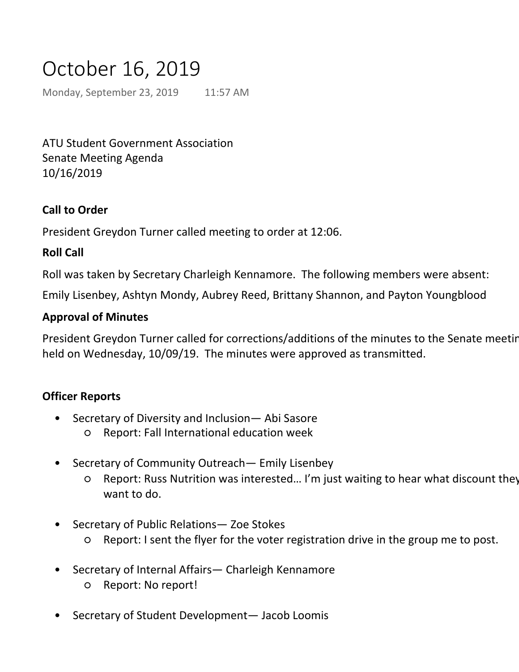# October 16, 2019

Monday, September 23, 2019 11:57 AM

ATU Student Government Association Senate Meeting Agenda 10/16/2019

# **Call to Order**

President Greydon Turner called meeting to order at 12:06.

### **Roll Call**

Roll was taken by Secretary Charleigh Kennamore. The following members were absent:

Emily Lisenbey, Ashtyn Mondy, Aubrey Reed, Brittany Shannon, and Payton Youngblood

#### **Approval of Minutes**

President Greydon Turner called for corrections/additions of the minutes to the Senate meeting held on Wednesday, 10/09/19. The minutes were approved as transmitted.

#### **Officer Reports**

- Secretary of Diversity and Inclusion— Abi Sasore •
	- Report: Fall International education week
- Secretary of Community Outreach— Emily Lisenbey •
	- Report: Russ Nutrition was interested… I'm just waiting to hear what discount they want to do.  $\Omega$
- Secretary of Public Relations— Zoe Stokes •
	- Report: I sent the flyer for the voter registration drive in the group me to post.
- Secretary of Internal Affairs— Charleigh Kennamore •
	- Report: No report!
- Secretary of Student Development— Jacob Loomis •
	- Report: ○
		- Voter registration drive is going on right now
		- ELI updates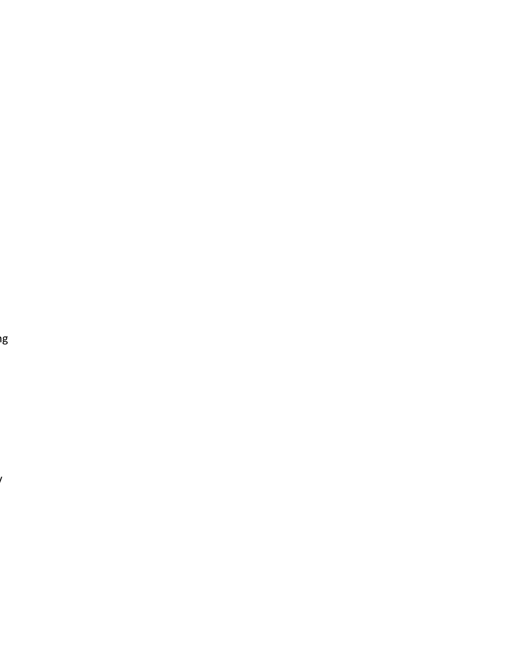er<br>I

 $\mathcal{L}$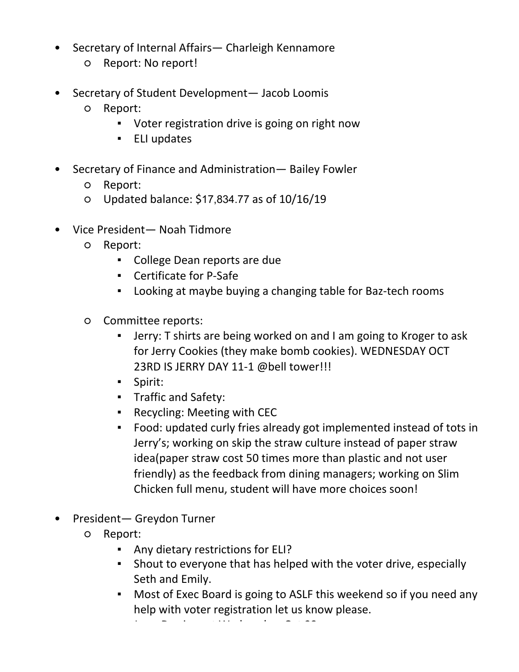- Report: I sent the flyer for the voter registration drive in the group me to post. ○
- Secretary of Internal Affairs— Charleigh Kennamore •
	- Report: No report!
- Secretary of Student Development— Jacob Loomis •
	- Report: ○
		- Voter registration drive is going on right now
		- ELI updates
- Secretary of Finance and Administration— Bailey Fowler •
	- Report:
	- Updated balance: \$17,834.77 as of 10/16/19
- Vice President— Noah Tidmore •
	- Report:  $\Omega$ 
		- College Dean reports are due
		- Certificate for P-Safe
		- Looking at maybe buying a changing table for Baz-tech rooms
	- Committee reports:  $\circ$ 
		- Jerry: T shirts are being worked on and I am going to Kroger to ask for Jerry Cookies (they make bomb cookies). WEDNESDAY OCT 23RD IS JERRY DAY 11-1 @bell tower!!! ▪
		- Spirit:
		- Traffic and Safety:
		- Recycling: Meeting with CEC
		- Food: updated curly fries already got implemented instead of tots in Jerry's; working on skip the straw culture instead of paper straw idea(paper straw cost 50 times more than plastic and not user friendly) as the feedback from dining managers; working on Slim Chicken full menu, student will have more choices soon! ▪
- President— Greydon Turner •
	- Report: ○
		- Any dietary restrictions for ELI?
		- **E** Shout to everyone that has helped with the voter drive, especially Seth and Emily.
		- **Most of Exec Board is going to ASLF this weekend so if you need any** help with voter registration let us know please.
		- Jerry Day is next Wednesday, Oct 23. ▪ ELI is next Thursday, Oct 24.
		- Campus Safety Walk November 5, to address safety issues on campuc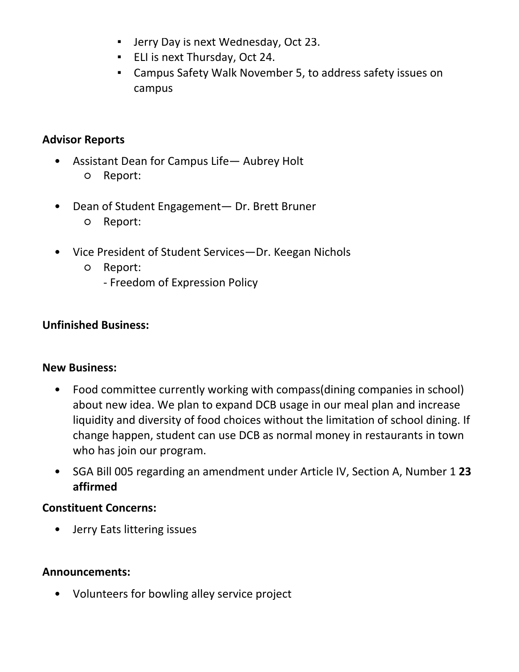- Seth and Emily.
- Most of Exec Board is going to ASLF this weekend so if you need any help with voter registration let us know please. ▪
- Jerry Day is next Wednesday, Oct 23.
- ELI is next Thursday, Oct 24.
- Campus Safety Walk November 5, to address safety issues on campus

# **Advisor Reports**

- Assistant Dean for Campus Life— Aubrey Holt ○ Report: •
- Dean of Student Engagement— Dr. Brett Bruner  $\bullet$ 
	- Report:
- Vice President of Student Services—Dr. Keegan Nichols •
	- Report:  $\Omega$ 
		- Freedom of Expression Policy

# **Unfinished Business:**

# **New Business:**

- Food committee currently working with compass(dining companies in school) about new idea. We plan to expand DCB usage in our meal plan and increase liquidity and diversity of food choices without the limitation of school dining. If change happen, student can use DCB as normal money in restaurants in town who has join our program. •
- SGA Bill 005 regarding an amendment under Article IV, Section A, Number 1 **23 affirmed**   $\bullet$

# **Constituent Concerns:**

• Jerry Eats littering issues

# **Announcements:**

• Volunteers for bowling alley service project

# **Motion to Adjourn:**